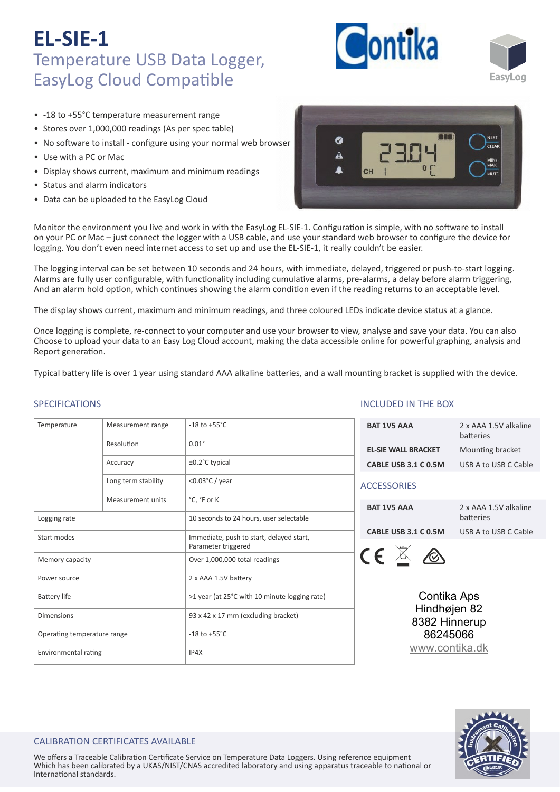



- -18 to +55°C temperature measurement range
- Stores over 1,000,000 readings (As per spec table)
- No software to install configure using your normal web browser
- Use with a PC or Mac
- Display shows current, maximum and minimum readings
- Status and alarm indicators
- Data can be uploaded to the EasyLog Cloud



Monitor the environment you live and work in with the EasyLog EL-SIE-1. Configuration is simple, with no software to install on your PC or Mac – just connect the logger with a USB cable, and use your standard web browser to configure the device for logging. You don't even need internet access to set up and use the EL‐SIE‐1, it really couldn't be easier.

The logging interval can be set between 10 seconds and 24 hours, with immediate, delayed, triggered or push-to-start logging. Alarms are fully user configurable, with functionality including cumulative alarms, pre-alarms, a delay before alarm triggering, And an alarm hold option, which continues showing the alarm condition even if the reading returns to an acceptable level.

The display shows current, maximum and minimum readings, and three coloured LEDs indicate device status at a glance.

Once logging is complete, re-connect to your computer and use your browser to view, analyse and save your data. You can also Choose to upload your data to an Easy Log Cloud account, making the data accessible online for powerful graphing, analysis and Report generation.

Typical battery life is over 1 year using standard AAA alkaline batteries, and a wall mounting bracket is supplied with the device.

## SPECIFICATIONS

| Temperature                 | Measurement range   | $-18$ to $+55^{\circ}$ C                                        |  |  |
|-----------------------------|---------------------|-----------------------------------------------------------------|--|--|
|                             | Resolution          | $0.01^\circ$                                                    |  |  |
|                             | Accuracy            | ±0.2°C typical                                                  |  |  |
|                             | Long term stability | < $0.03$ °C / year                                              |  |  |
|                             | Measurement units   | °C, °F or K                                                     |  |  |
| Logging rate                |                     | 10 seconds to 24 hours, user selectable                         |  |  |
| Start modes                 |                     | Immediate, push to start, delayed start,<br>Parameter triggered |  |  |
| Memory capacity             |                     | Over 1,000,000 total readings                                   |  |  |
| Power source                |                     | 2 x AAA 1.5V battery                                            |  |  |
| <b>Battery life</b>         |                     | >1 year (at 25°C with 10 minute logging rate)                   |  |  |
| <b>Dimensions</b>           |                     | 93 x 42 x 17 mm (excluding bracket)                             |  |  |
| Operating temperature range |                     | $-18$ to $+55^{\circ}$ C                                        |  |  |
| Environmental rating        |                     | IP4X                                                            |  |  |

### INCLUDED IN THE BOX

| <b>BAT 1V5 AAA</b>         | 2 x AAA 1.5V alkaline<br>hatteries |
|----------------------------|------------------------------------|
| <b>EL-SIE WALL BRACKET</b> | Mounting bracket                   |
| CABLE USB 3.1 C 0.5M       | USB A to USB C Cable               |
| <b>ACCESSORIES</b>         |                                    |
| <b>BAT 1V5 AAA</b>         | 2 x AAA 1.5V alkaline              |

batteries **CABLE USB 3.1 C 0.5M** USB A to USB C Cable



Contika Aps Hindhøjen 82 8382 Hinnerup 86245066 [www.contika.dk](https://www.contika.dk/datalogger/easylog-sie/)



### CALIBRATION CERTIFICATES AVAILABLE

We offers a Traceable Calibration Certificate Service on Temperature Data Loggers. Using reference equipment Which has been calibrated by a UKAS/NIST/CNAS accredited laboratory and using apparatus traceable to national or International standards.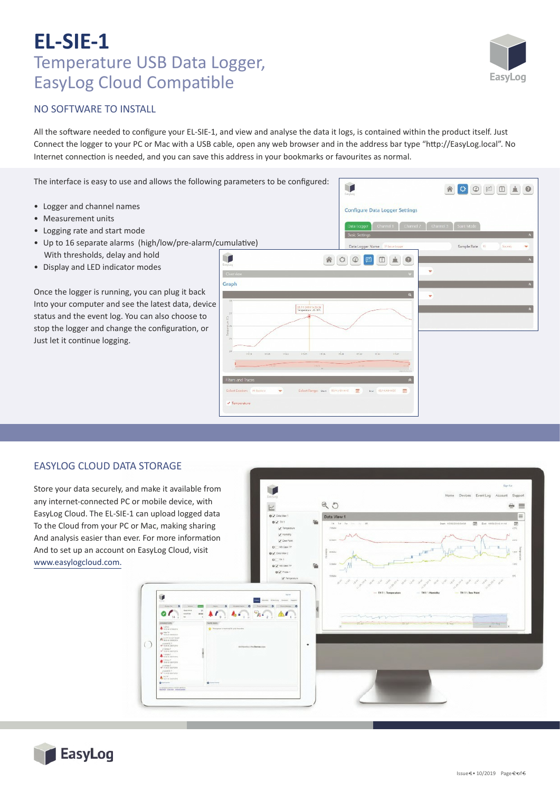

## NO SOFTWARE TO INSTALL

All the software needed to configure your EL-SIE-1, and view and analyse the data it logs, is contained within the product itself. Just Connect the logger to your PC or Mac with a USB cable, open any web browser and in the address bar type "h�p://EasyLog.local". No Internet connection is needed, and you can save this address in your bookmarks or favourites as normal.

The interface is easy to use and allows the following parameters to be configured:

- Logger and channel names
- Measurement units
- Logging rate and start mode
- Up to 16 separate alarms (high/low/pre-alarm/cumulative) With thresholds, delay and hold
- Display and LED indicator modes

Once the logger is running, you can plug it back Into your computer and see the latest data, device status and the event log. You can also choose to stop the logger and change the configuration, or Just let it continue logging.



### EASYLOG CLOUD DATA STORAGE

Store your data securely, and make it available from any internet-connected PC or mobile device, with EasyLog Cloud. The EL‐SIE‐1 can upload logged data To the Cloud from your PC or Mac, making sharing And analysis easier than ever. For more information And to set up an account on EasyLog Cloud, visit www.easylogcloud.com.

 $90$  $=$   $=$  $=$ û  $\circ$  $\circ$ 

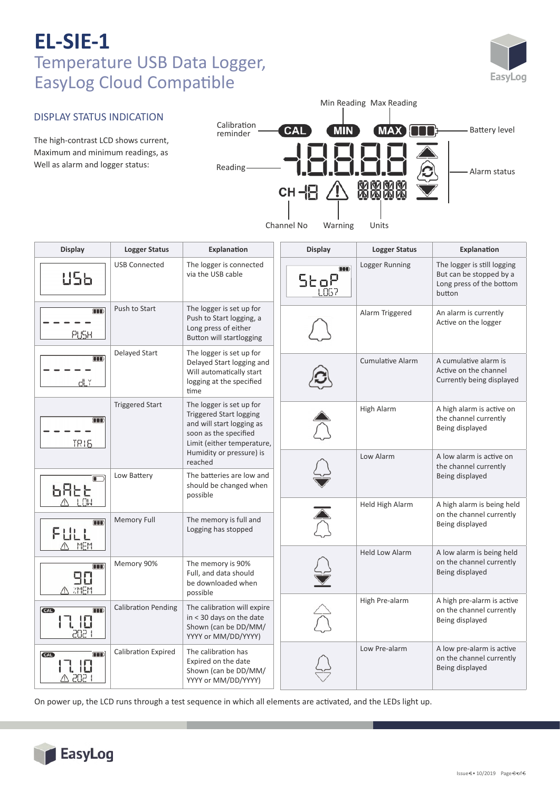

#### DISPLAY STATUS INDICATION Calibration CAL **MAX Battery level MIN** reminder The high-contrast LCD shows current, Maximum and minimum readings, as Well as alarm and logger status: Reading  $\begin{array}{ccc} \text{Reading} \longrightarrow & \text{I.} \square & \text{I.} \square & \text{I.} \square & \text{I.} \square & \text{I.} \square & \text{I.} \end{array}$ **MMM**<br>MMM СН $\mathbb{F}$  / Channel No Warning Units **Display Logger Status Explanation Display Logger Status Explanation** Logger Running | The logger is still logging USB Connected The logger is connected **OOO** via the USB cable **US6** But can be stopped by a StoP Long press of the bottom L067 button Push to Start  $\vert$  The logger is set up for  $\overline{\mathbf{m}}$ Alarm Triggered  $\vert$  An alarm is currently Push to Start logging, a Active on the logger Long press of either PUSH Button will startlogging Delayed Start  $\vert$  The logger is set up for m  $Cumulative$  Alarm  $\overrightarrow{A}$  cumulative alarm is Delayed Start logging and Active on the channel Will automatically start Currently being displayed dLY logging at the specified time Triggered Start  $\vert$  The logger is set up for High Alarm  $\vert$  A high alarm is active on Triggered Start logging the channel currently  $\overline{\mathbf{m}}$ and will start logging as Being displayed soon as the specified TR1E Limit (either temperature, Humidity or pressure) is Low Alarm A low alarm is active on reached the channel currently Low Battery The batteries are low and Being displayed  $\Box$ should be changed when **6866** possible Held High Alarm  $\overrightarrow{A}$  high alarm is being held  $\overline{\widehat{\triangle}}$ on the channel currently Memory Full The memory is full and  $\overline{\mathbf{m}}$ Being displayed Logging has stopped FIIL ∧ MEM Held Low Alarm  $\vert$  A low alarm is being held on the channel currently Memory 90% The memory is 90% m Full, and data should Being displayed 90 be downloaded when

Min Reading Max Reading

On power up, the LCD runs through a test sequence in which all elements are activated, and the LEDs light up.

in < 30 days on the date Shown (can be DD/MM/ YYYY or MM/DD/YYYY)

Expired on the date Shown (can be DD/MM/ YYYY or MM/DD/YYYY)

possible Calibration Pending  $\vert$  The calibration will expire

Calibration Expired  $\vert$  The calibration has



**ZMEM** 

l IB

17. 18 כחכ

**TIB** 

œ

**CAL** 

**CAL** 

High Pre-alarm  $\vert$  A high pre-alarm is active

Low Pre-alarm  $\vert$  A low pre-alarm is active

on the channel currently Being displayed

on the channel currently Being displayed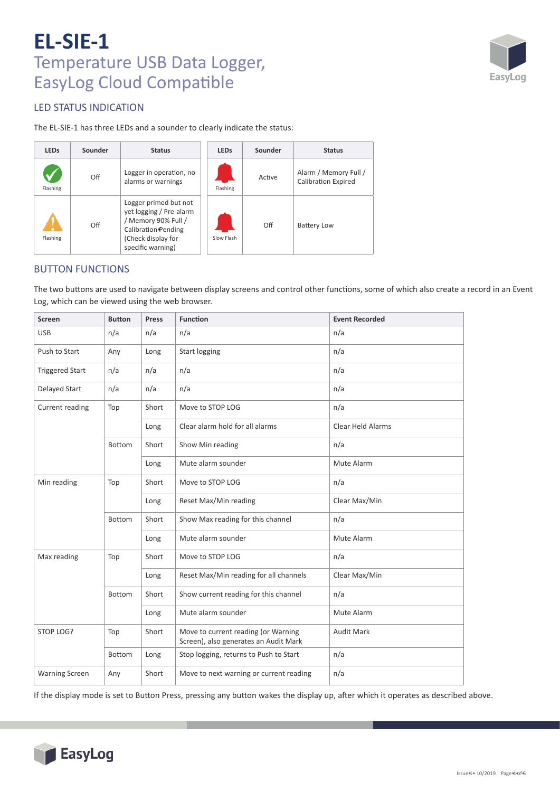

## LED STATUS INDICATION

The EL‐SIE‐1 has three LEDs and a sounder to clearly indicate the status:

| <b>LEDs</b> | Sounder | <b>Status</b>                                                                                                                             | <b>LEDs</b> | Sounder | <b>Status</b>                                       |
|-------------|---------|-------------------------------------------------------------------------------------------------------------------------------------------|-------------|---------|-----------------------------------------------------|
| Flashing    | Off     | Logger in operation, no<br>alarms or warnings                                                                                             | Flashing    | Active  | Alarm / Memory Full /<br><b>Calibration Expired</b> |
| Flashing    | Off     | Logger primed but not<br>yet logging / Pre-alarm<br>/ Memory 90% Full /<br>Calibration Pending<br>(Check display for<br>specific warning) | Slow Flash  | Off     | <b>Battery Low</b>                                  |

## BUTTON FUNCTIONS

The two buttons are used to navigate between display screens and control other functions, some of which also create a record in an Event Log, which can be viewed using the web browser.

| <b>Screen</b>          | <b>Button</b> | <b>Press</b> | <b>Function</b>                                                              | <b>Event Recorded</b>    |
|------------------------|---------------|--------------|------------------------------------------------------------------------------|--------------------------|
| <b>USB</b>             | n/a           | n/a          | n/a                                                                          | n/a                      |
| Push to Start          | Any           | Long         | <b>Start logging</b>                                                         | n/a                      |
| <b>Triggered Start</b> | n/a           | n/a          | n/a                                                                          | n/a                      |
| Delayed Start          | n/a           | n/a          | n/a                                                                          | n/a                      |
| Current reading        | Top           | Short        | Move to STOP LOG                                                             | n/a                      |
|                        |               | Long         | Clear alarm hold for all alarms                                              | <b>Clear Held Alarms</b> |
|                        | <b>Bottom</b> | Short        | Show Min reading                                                             | n/a                      |
|                        |               | Long         | Mute alarm sounder                                                           | Mute Alarm               |
| Min reading            | Top           | Short        | Move to STOP LOG                                                             | n/a                      |
|                        |               | Long         | Reset Max/Min reading                                                        | Clear Max/Min            |
|                        | <b>Bottom</b> | Short        | Show Max reading for this channel                                            | n/a                      |
|                        |               | Long         | Mute alarm sounder                                                           | Mute Alarm               |
| Max reading            | Top           | Short        | Move to STOP LOG                                                             | n/a                      |
|                        |               | Long         | Reset Max/Min reading for all channels                                       | Clear Max/Min            |
|                        | <b>Bottom</b> | Short        | Show current reading for this channel                                        | n/a                      |
|                        |               | Long         | Mute alarm sounder                                                           | Mute Alarm               |
| STOP LOG?              | Top           | Short        | Move to current reading (or Warning<br>Screen), also generates an Audit Mark | Audit Mark               |
|                        | Bottom        | Long         | Stop logging, returns to Push to Start                                       | n/a                      |
| <b>Warning Screen</b>  | Any           | Short        | Move to next warning or current reading                                      | n/a                      |

If the display mode is set to Button Press, pressing any button wakes the display up, after which it operates as described above.